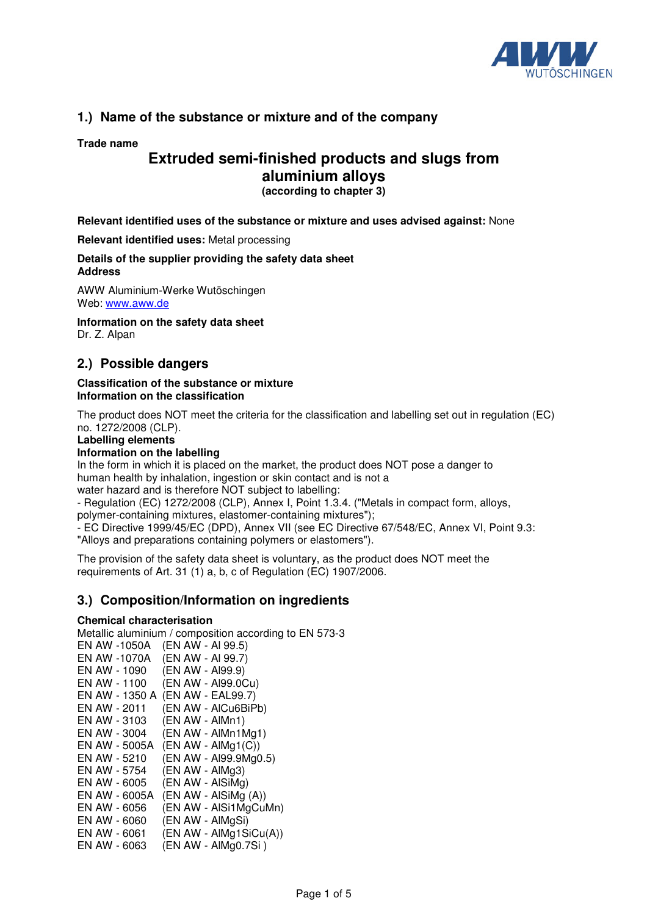

# **1.) Name of the substance or mixture and of the company**

## **Trade name**

# **Extruded semi-finished products and slugs from aluminium alloys**

**(according to chapter 3)**

**Relevant identified uses of the substance or mixture and uses advised against:** None

**Relevant identified uses:** Metal processing

### **Details of the supplier providing the safety data sheet Address**

AWW Aluminium-Werke Wutöschingen Web: www.aww.de

**Information on the safety data sheet**  Dr. Z. Alpan

# **2.) Possible dangers**

### **Classification of the substance or mixture Information on the classification**

The product does NOT meet the criteria for the classification and labelling set out in regulation (EC) no. 1272/2008 (CLP).

**Labelling elements** 

**Information on the labelling** 

In the form in which it is placed on the market, the product does NOT pose a danger to human health by inhalation, ingestion or skin contact and is not a water hazard and is therefore NOT subject to labelling:

- Regulation (EC) 1272/2008 (CLP), Annex I, Point 1.3.4. ("Metals in compact form, alloys,

polymer-containing mixtures, elastomer-containing mixtures");

- EC Directive 1999/45/EC (DPD), Annex VII (see EC Directive 67/548/EC, Annex VI, Point 9.3: "Alloys and preparations containing polymers or elastomers").

The provision of the safety data sheet is voluntary, as the product does NOT meet the requirements of Art. 31 (1) a, b, c of Regulation (EC) 1907/2006.

# **3.) Composition/Information on ingredients**

#### **Chemical characterisation**

Metallic aluminium / composition according to EN 573-3

| EN AW -1050A   |  |  | (EN AW - AI 99.5)      |  |
|----------------|--|--|------------------------|--|
| EN AW -1070A   |  |  | (EN AW - AI 99.7)      |  |
| EN AW - 1090   |  |  | (EN AW - Al99.9)       |  |
| EN AW - 1100   |  |  | (EN AW - Al99.0Cu)     |  |
| EN AW - 1350 A |  |  | (EN AW - EAL99.7)      |  |
| EN AW - 2011   |  |  | (EN AW - AlCu6BiPb)    |  |
| EN AW - 3103   |  |  | (EN AW - AlMn1)        |  |
| EN AW - 3004   |  |  | (EN AW - AlMn1Mg1)     |  |
| EN AW - 5005A  |  |  | $(EN AW - AlMg1(C))$   |  |
| EN AW - 5210   |  |  | (EN AW - Al99.9Mg0.5)  |  |
| EN AW - 5754   |  |  | (EN AW - AlMg3)        |  |
| EN AW - 6005   |  |  | (EN AW - AlSiMg)       |  |
| EN AW - 6005A  |  |  | (EN AW - AlSiMg (A))   |  |
| EN AW - 6056   |  |  | (EN AW - AlSi1MgCuMn)  |  |
| EN AW - 6060   |  |  | (EN AW - AlMgSi)       |  |
| EN AW - 6061   |  |  | (EN AW - AlMg1SiCu(A)) |  |
| EN AW - 6063   |  |  | (EN AW - AlMg0.7Si)    |  |
|                |  |  |                        |  |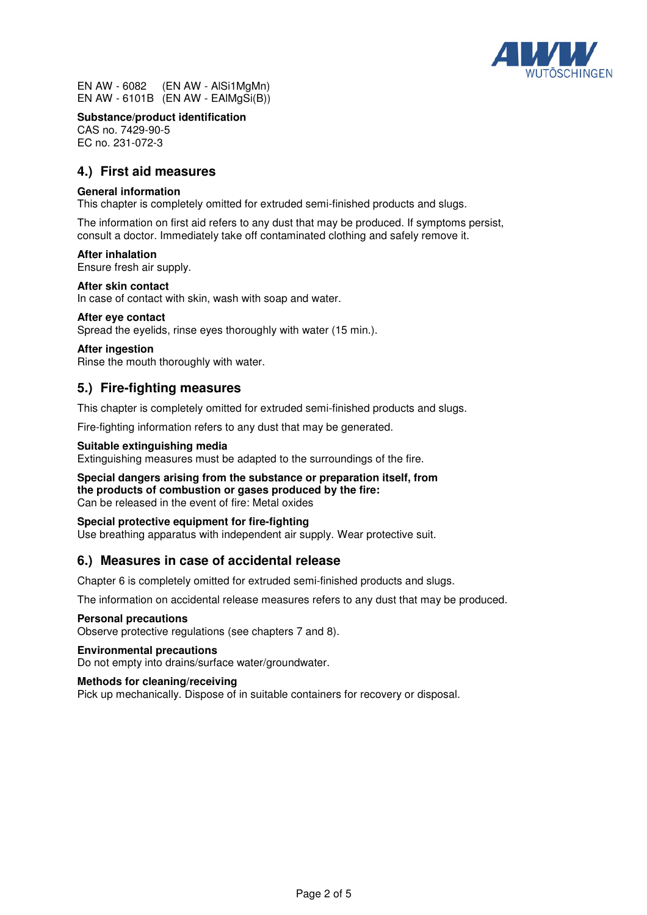

EN AW - 6082 (EN AW - AlSi1MgMn) EN AW - 6101B (EN AW - EAlMgSi(B))

**Substance/product identification** 

CAS no. 7429-90-5 EC no. 231-072-3

# **4.) First aid measures**

## **General information**

This chapter is completely omitted for extruded semi-finished products and slugs.

The information on first aid refers to any dust that may be produced. If symptoms persist, consult a doctor. Immediately take off contaminated clothing and safely remove it.

#### **After inhalation**

Ensure fresh air supply.

#### **After skin contact**

In case of contact with skin, wash with soap and water.

#### **After eye contact**

Spread the eyelids, rinse eyes thoroughly with water (15 min.).

#### **After ingestion**

Rinse the mouth thoroughly with water.

## **5.) Fire-fighting measures**

This chapter is completely omitted for extruded semi-finished products and slugs.

Fire-fighting information refers to any dust that may be generated.

#### **Suitable extinguishing media**

Extinguishing measures must be adapted to the surroundings of the fire.

**Special dangers arising from the substance or preparation itself, from the products of combustion or gases produced by the fire:**  Can be released in the event of fire: Metal oxides

### **Special protective equipment for fire-fighting**

Use breathing apparatus with independent air supply. Wear protective suit.

## **6.) Measures in case of accidental release**

Chapter 6 is completely omitted for extruded semi-finished products and slugs.

The information on accidental release measures refers to any dust that may be produced.

#### **Personal precautions**

Observe protective regulations (see chapters 7 and 8).

#### **Environmental precautions**

Do not empty into drains/surface water/groundwater.

#### **Methods for cleaning/receiving**

Pick up mechanically. Dispose of in suitable containers for recovery or disposal.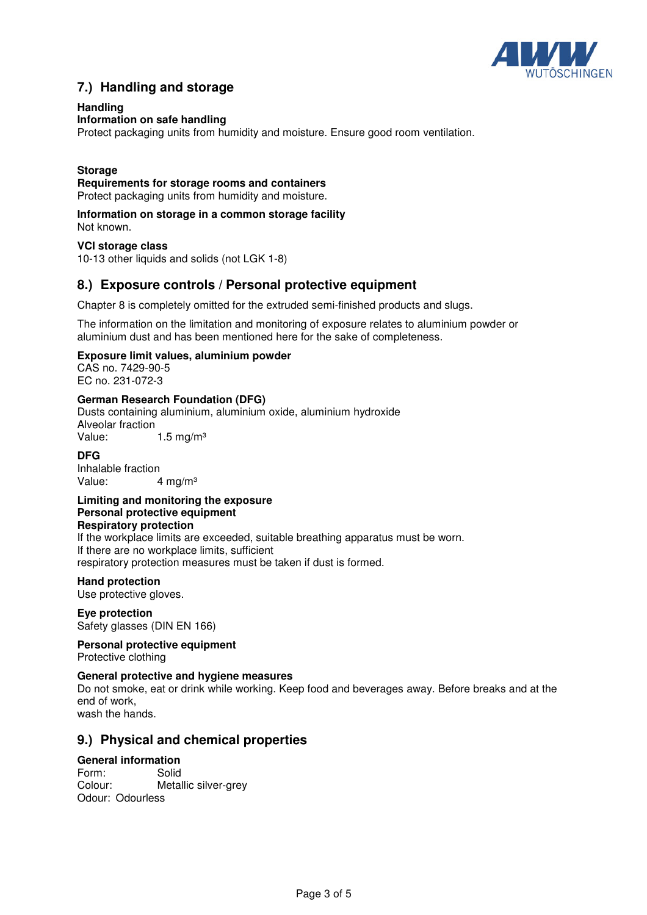

# **7.) Handling and storage**

## **Handling**

### **Information on safe handling**

Protect packaging units from humidity and moisture. Ensure good room ventilation.

## **Storage**

#### **Requirements for storage rooms and containers**

Protect packaging units from humidity and moisture.

#### **Information on storage in a common storage facility** Not known.

### **VCI storage class**

10-13 other liquids and solids (not LGK 1-8)

# **8.) Exposure controls / Personal protective equipment**

Chapter 8 is completely omitted for the extruded semi-finished products and slugs.

The information on the limitation and monitoring of exposure relates to aluminium powder or aluminium dust and has been mentioned here for the sake of completeness.

### **Exposure limit values, aluminium powder**

CAS no. 7429-90-5 EC no. 231-072-3

### **German Research Foundation (DFG)**

Dusts containing aluminium, aluminium oxide, aluminium hydroxide Alveolar fraction Value: 1.5 mg/m<sup>3</sup>

#### **DFG**

Inhalable fraction Value: 4 mg/m<sup>3</sup>

#### **Limiting and monitoring the exposure Personal protective equipment Respiratory protection**

If the workplace limits are exceeded, suitable breathing apparatus must be worn. If there are no workplace limits, sufficient respiratory protection measures must be taken if dust is formed.

#### **Hand protection**

Use protective gloves.

## **Eye protection**

Safety glasses (DIN EN 166)

**Personal protective equipment**  Protective clothing

#### **General protective and hygiene measures**

Do not smoke, eat or drink while working. Keep food and beverages away. Before breaks and at the end of work,

wash the hands.

## **9.) Physical and chemical properties**

#### **General information**

Form: Solid Metallic silver-grey Odour: Odourless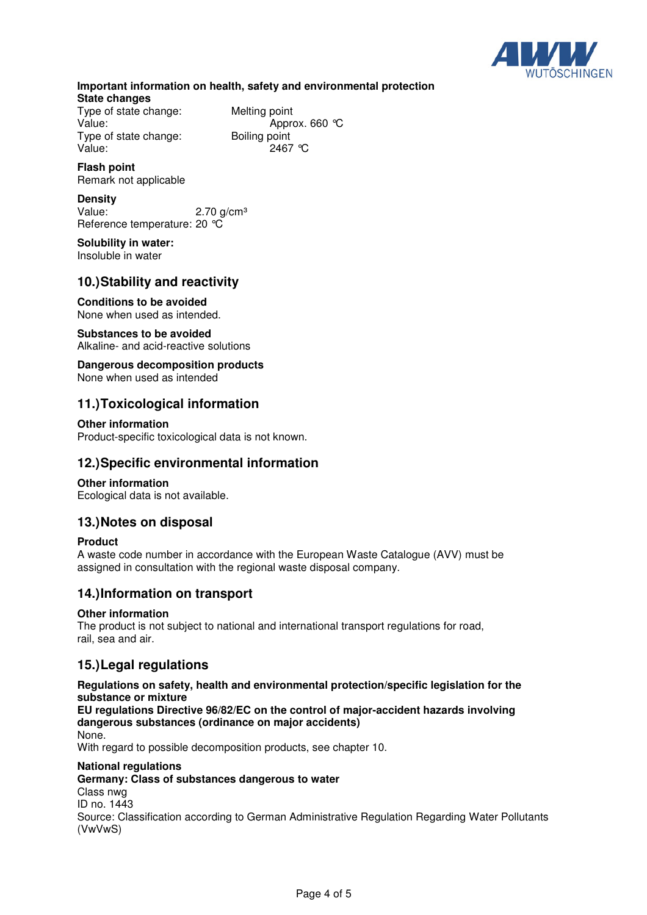

## **Important information on health, safety and environmental protection State changes**

Type of state change: Melting point<br>Value: Appro Type of state change: Boiling point Value: 2467 °C

Approx. 660 °C

#### **Flash point**  Remark not applicable

**Density** 

Value:  $2.70 \text{ g/cm}^3$ Reference temperature: 20 °C

### **Solubility in water:**  Insoluble in water

# **10.) Stability and reactivity**

**Conditions to be avoided**  None when used as intended.

# **Substances to be avoided**

Alkaline- and acid-reactive solutions

#### **Dangerous decomposition products**  None when used as intended

# **11.) Toxicological information**

## **Other information**

Product-specific toxicological data is not known.

# **12.) Specific environmental information**

## **Other information**

Ecological data is not available.

# **13.) Notes on disposal**

## **Product**

A waste code number in accordance with the European Waste Catalogue (AVV) must be assigned in consultation with the regional waste disposal company.

# **14.) Information on transport**

## **Other information**

The product is not subject to national and international transport regulations for road, rail, sea and air.

# **15.) Legal regulations**

## **Regulations on safety, health and environmental protection/specific legislation for the substance or mixture**

**EU regulations Directive 96/82/EC on the control of major-accident hazards involving dangerous substances (ordinance on major accidents)**

None.

With regard to possible decomposition products, see chapter 10.

## **National regulations**

## **Germany: Class of substances dangerous to water**

Class nwg ID no. 1443

Source: Classification according to German Administrative Regulation Regarding Water Pollutants (VwVwS)